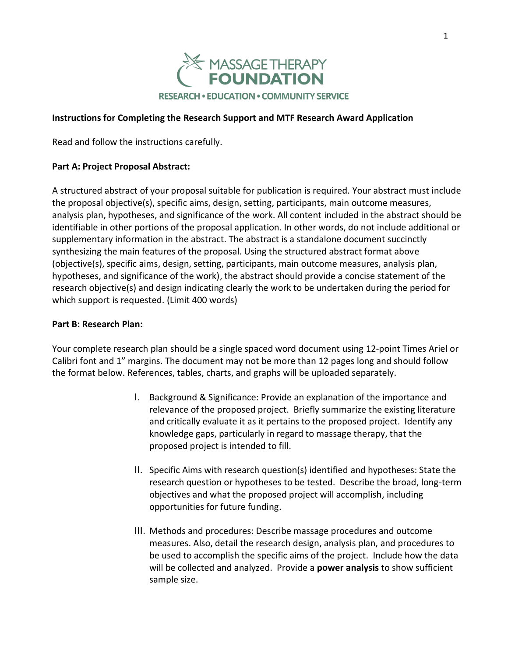

## **Instructions for Completing the Research Support and MTF Research Award Application**

Read and follow the instructions carefully.

## **Part A: Project Proposal Abstract:**

A structured abstract of your proposal suitable for publication is required. Your abstract must include the proposal objective(s), specific aims, design, setting, participants, main outcome measures, analysis plan, hypotheses, and significance of the work. All content included in the abstract should be identifiable in other portions of the proposal application. In other words, do not include additional or supplementary information in the abstract. The abstract is a standalone document succinctly synthesizing the main features of the proposal. Using the structured abstract format above (objective(s), specific aims, design, setting, participants, main outcome measures, analysis plan, hypotheses, and significance of the work), the abstract should provide a concise statement of the research objective(s) and design indicating clearly the work to be undertaken during the period for which support is requested. (Limit 400 words)

#### **Part B: Research Plan:**

Your complete research plan should be a single spaced word document using 12-point Times Ariel or Calibri font and 1" margins. The document may not be more than 12 pages long and should follow the format below. References, tables, charts, and graphs will be uploaded separately.

- I. Background & Significance: Provide an explanation of the importance and relevance of the proposed project. Briefly summarize the existing literature and critically evaluate it as it pertains to the proposed project. Identify any knowledge gaps, particularly in regard to massage therapy, that the proposed project is intended to fill.
- II. Specific Aims with research question(s) identified and hypotheses: State the research question or hypotheses to be tested. Describe the broad, long-term objectives and what the proposed project will accomplish, including opportunities for future funding.
- III. Methods and procedures: Describe massage procedures and outcome measures. Also, detail the research design, analysis plan, and procedures to be used to accomplish the specific aims of the project. Include how the data will be collected and analyzed. Provide a **power analysis** to show sufficient sample size.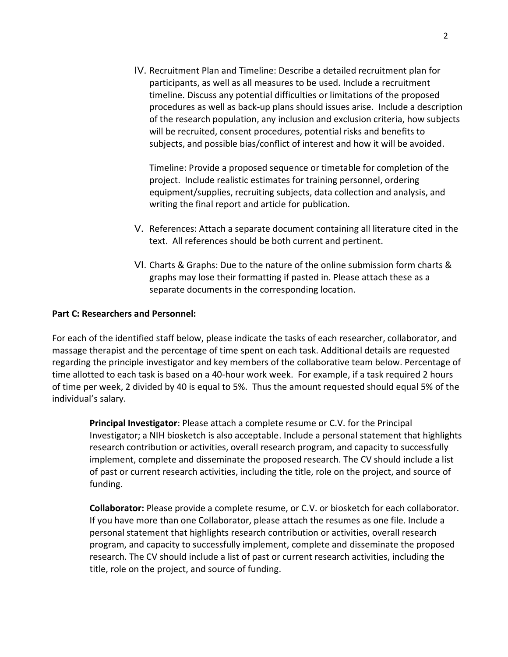IV. Recruitment Plan and Timeline: Describe a detailed recruitment plan for participants, as well as all measures to be used. Include a recruitment timeline. Discuss any potential difficulties or limitations of the proposed procedures as well as back-up plans should issues arise. Include a description of the research population, any inclusion and exclusion criteria, how subjects will be recruited, consent procedures, potential risks and benefits to subjects, and possible bias/conflict of interest and how it will be avoided.

Timeline: Provide a proposed sequence or timetable for completion of the project. Include realistic estimates for training personnel, ordering equipment/supplies, recruiting subjects, data collection and analysis, and writing the final report and article for publication.

- V. References: Attach a separate document containing all literature cited in the text. All references should be both current and pertinent.
- VI. Charts & Graphs: Due to the nature of the online submission form charts & graphs may lose their formatting if pasted in. Please attach these as a separate documents in the corresponding location.

## **Part C: Researchers and Personnel:**

For each of the identified staff below, please indicate the tasks of each researcher, collaborator, and massage therapist and the percentage of time spent on each task. Additional details are requested regarding the principle investigator and key members of the collaborative team below. Percentage of time allotted to each task is based on a 40-hour work week. For example, if a task required 2 hours of time per week, 2 divided by 40 is equal to 5%. Thus the amount requested should equal 5% of the individual's salary.

**Principal Investigator**: Please attach a complete resume or C.V. for the Principal Investigator; a NIH biosketch is also acceptable. Include a personal statement that highlights research contribution or activities, overall research program, and capacity to successfully implement, complete and disseminate the proposed research. The CV should include a list of past or current research activities, including the title, role on the project, and source of funding.

**Collaborator:** Please provide a complete resume, or C.V. or biosketch for each collaborator. If you have more than one Collaborator, please attach the resumes as one file. Include a personal statement that highlights research contribution or activities, overall research program, and capacity to successfully implement, complete and disseminate the proposed research. The CV should include a list of past or current research activities, including the title, role on the project, and source of funding.